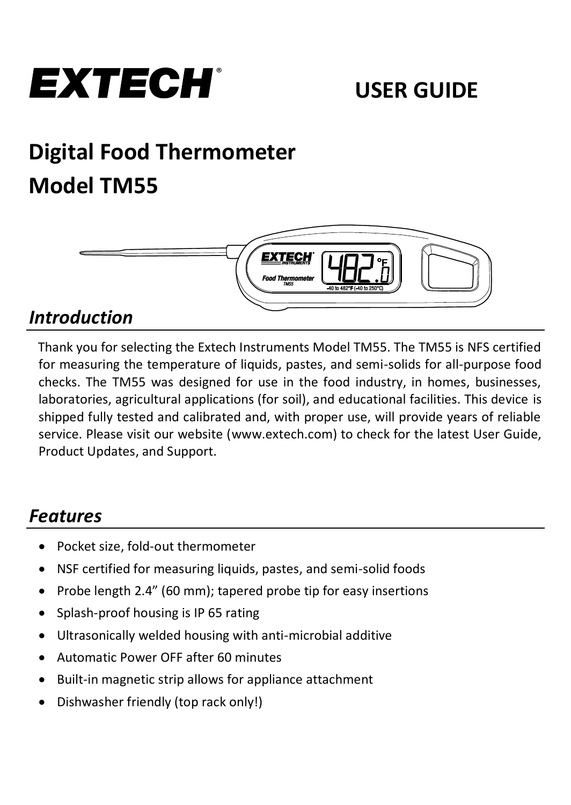

# **Digital Food Thermometer Model TM55**



### *Introduction*

Thank you for selecting the Extech Instruments Model TM55. The TM55 is NFS certified for measuring the temperature of liquids, pastes, and semi-solids for all-purpose food checks. The TM55 was designed for use in the food industry, in homes, businesses, laboratories, agricultural applications (for soil), and educational facilities. This device is shipped fully tested and calibrated and, with proper use, will provide years of reliable service. Please visit our website [\(www.extech.com\)](http://www.extech.com/) to check for the latest User Guide, Product Updates, and Support.

### *Features*

- Pocket size, fold-out thermometer
- NSF certified for measuring liquids, pastes, and semi-solid foods
- Probe length 2.4" (60 mm); tapered probe tip for easy insertions
- Splash-proof housing is IP 65 rating
- Ultrasonically welded housing with anti-microbial additive
- Automatic Power OFF after 60 minutes
- Built-in magnetic strip allows for appliance attachment
- Dishwasher friendly (top rack only!)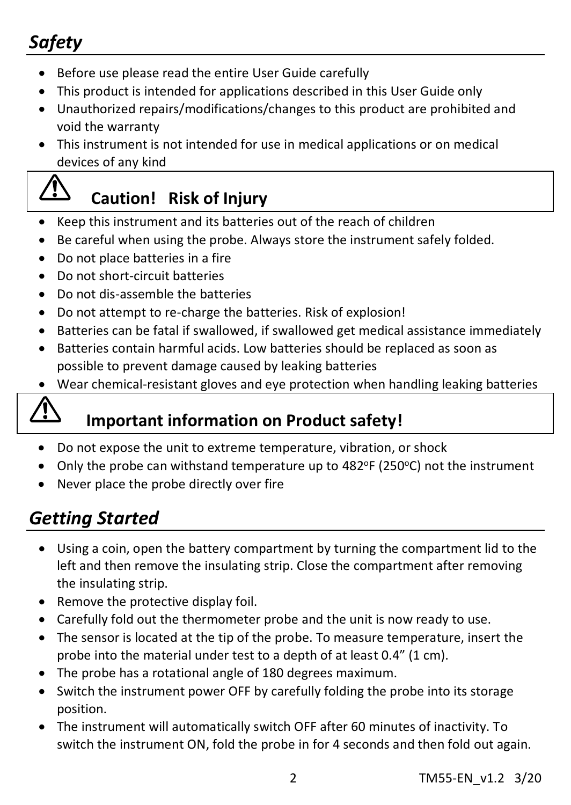## *Safety*

- Before use please read the entire User Guide carefully
- This product is intended for applications described in this User Guide only
- Unauthorized repairs/modifications/changes to this product are prohibited and void the warranty
- This instrument is not intended for use in medical applications or on medical devices of any kind

### **Caution! Risk of Injury**

- Keep this instrument and its batteries out of the reach of children
- Be careful when using the probe. Always store the instrument safely folded.
- Do not place batteries in a fire
- Do not short-circuit batteries
- Do not dis-assemble the batteries
- Do not attempt to re-charge the batteries. Risk of explosion!
- Batteries can be fatal if swallowed, if swallowed get medical assistance immediately
- Batteries contain harmful acids. Low batteries should be replaced as soon as possible to prevent damage caused by leaking batteries
- Wear chemical-resistant gloves and eye protection when handling leaking batteries

### **Important information on Product safety!**

- Do not expose the unit to extreme temperature, vibration, or shock
- Only the probe can withstand temperature up to 482°F (250°C) not the instrument
- Never place the probe directly over fire

### *Getting Started*

- Using a coin, open the battery compartment by turning the compartment lid to the left and then remove the insulating strip. Close the compartment after removing the insulating strip.
- Remove the protective display foil.
- Carefully fold out the thermometer probe and the unit is now ready to use.
- The sensor is located at the tip of the probe. To measure temperature, insert the probe into the material under test to a depth of at least 0.4" (1 cm).
- The probe has a rotational angle of 180 degrees maximum.
- Switch the instrument power OFF by carefully folding the probe into its storage position.
- The instrument will automatically switch OFF after 60 minutes of inactivity. To switch the instrument ON, fold the probe in for 4 seconds and then fold out again.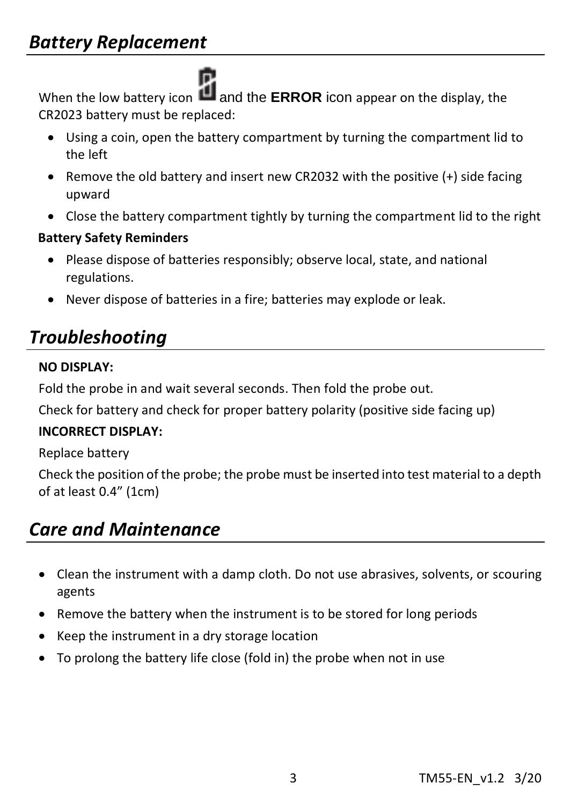Ē. When the low battery icon **Let** and the **ERROR** icon appear on the display, the CR2023 battery must be replaced:

- Using a coin, open the battery compartment by turning the compartment lid to the left
- Remove the old battery and insert new CR2032 with the positive (+) side facing upward
- Close the battery compartment tightly by turning the compartment lid to the right

### **Battery Safety Reminders**

- Please dispose of batteries responsibly; observe local, state, and national regulations.
- Never dispose of batteries in a fire; batteries may explode or leak.

### *Troubleshooting*

#### **NO DISPLAY:**

Fold the probe in and wait several seconds. Then fold the probe out.

Check for battery and check for proper battery polarity (positive side facing up)

#### **INCORRECT DISPLAY:**

Replace battery

Check the position of the probe; the probe must be inserted into test material to a depth of at least 0.4" (1cm)

### *Care and Maintenance*

- Clean the instrument with a damp cloth. Do not use abrasives, solvents, or scouring agents
- Remove the battery when the instrument is to be stored for long periods
- Keep the instrument in a dry storage location
- To prolong the battery life close (fold in) the probe when not in use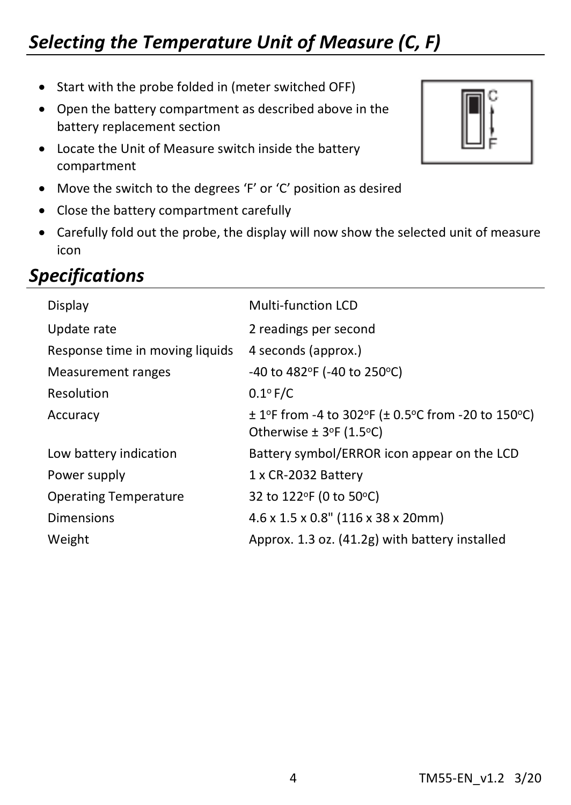### *Selecting the Temperature Unit of Measure (C, F)*

- Start with the probe folded in (meter switched OFF)
- Open the battery compartment as described above in the battery replacement section
- Locate the Unit of Measure switch inside the battery compartment
- Move the switch to the degrees 'F' or 'C' position as desired
- Close the battery compartment carefully
- Carefully fold out the probe, the display will now show the selected unit of measure icon

### *Specifications*

| Display                         | Multi-function LCD                                 |
|---------------------------------|----------------------------------------------------|
| Update rate                     | 2 readings per second                              |
| Response time in moving liquids | 4 seconds (approx.)                                |
| Measurement ranges              | -40 to 482°F (-40 to 250°C)                        |
| Resolution                      | $0.1^{\circ}$ F/C                                  |
| Accuracy                        | ± 1ºF from -4 to 302ºF (± 0.5°C from -20 to 150°C) |
|                                 | Otherwise $\pm$ 3°F (1.5°C)                        |
| Low battery indication          | Battery symbol/ERROR icon appear on the LCD        |
| Power supply                    | 1 x CR-2032 Battery                                |
| <b>Operating Temperature</b>    | 32 to 122°F (0 to 50°C)                            |
| Dimensions                      | $4.6 \times 1.5 \times 0.8$ " (116 x 38 x 20mm)    |
| Weight                          | Approx. 1.3 oz. (41.2g) with battery installed     |
|                                 |                                                    |